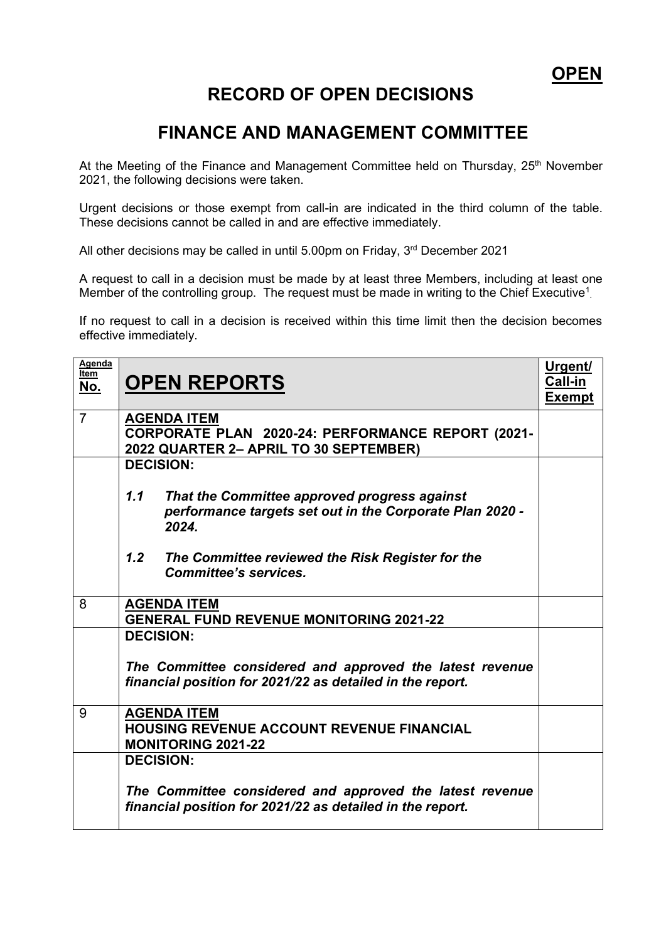## **RECORD OF OPEN DECISIONS**

## **FINANCE AND MANAGEMENT COMMITTEE**

At the Meeting of the Finance and Management Committee held on Thursday, 25<sup>th</sup> November 2021, the following decisions were taken.

Urgent decisions or those exempt from call-in are indicated in the third column of the table. These decisions cannot be called in and are effective immediately.

All other decisions may be called in until 5.00pm on Friday, 3rd December 2021

A request to call in a decision must be made by at least three Members, including at least one Member of the controlling group. The request must be made in writing to the Chief Executive<sup>1</sup>.

If no request to call in a decision is received within this time limit then the decision becomes effective immediately.

| Agenda<br>Item<br>No. | <b>OPEN REPORTS</b>                                                                                                      | <u>Urgent/</u><br>Call-in<br><b>Exempt</b> |
|-----------------------|--------------------------------------------------------------------------------------------------------------------------|--------------------------------------------|
| $\overline{7}$        | <b>AGENDA ITEM</b><br>CORPORATE PLAN 2020-24: PERFORMANCE REPORT (2021-<br>2022 QUARTER 2- APRIL TO 30 SEPTEMBER)        |                                            |
|                       | <b>DECISION:</b>                                                                                                         |                                            |
|                       | 1.1<br>That the Committee approved progress against<br>performance targets set out in the Corporate Plan 2020 -<br>2024. |                                            |
|                       | 1.2<br>The Committee reviewed the Risk Register for the<br><b>Committee's services.</b>                                  |                                            |
| 8                     | <b>AGENDA ITEM</b><br><b>GENERAL FUND REVENUE MONITORING 2021-22</b>                                                     |                                            |
|                       | <b>DECISION:</b>                                                                                                         |                                            |
|                       | The Committee considered and approved the latest revenue<br>financial position for 2021/22 as detailed in the report.    |                                            |
| 9                     | <b>AGENDA ITEM</b><br><b>HOUSING REVENUE ACCOUNT REVENUE FINANCIAL</b><br><b>MONITORING 2021-22</b>                      |                                            |
|                       | <b>DECISION:</b>                                                                                                         |                                            |
|                       | The Committee considered and approved the latest revenue<br>financial position for 2021/22 as detailed in the report.    |                                            |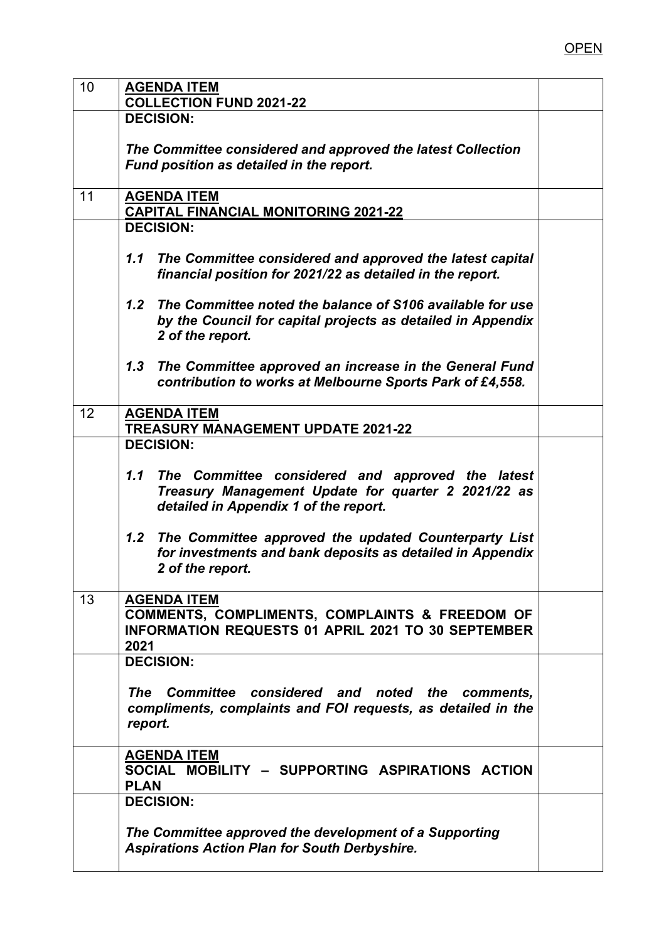| 10 | <b>AGENDA ITEM</b><br><b>COLLECTION FUND 2021-22</b>                                                                                                    |  |
|----|---------------------------------------------------------------------------------------------------------------------------------------------------------|--|
|    | <b>DECISION:</b>                                                                                                                                        |  |
|    | The Committee considered and approved the latest Collection<br>Fund position as detailed in the report.                                                 |  |
| 11 | <b>AGENDA ITEM</b><br><b>CAPITAL FINANCIAL MONITORING 2021-22</b>                                                                                       |  |
|    | <b>DECISION:</b>                                                                                                                                        |  |
|    | The Committee considered and approved the latest capital<br>1.1<br>financial position for 2021/22 as detailed in the report.                            |  |
|    | 1.2<br>The Committee noted the balance of S106 available for use<br>by the Council for capital projects as detailed in Appendix<br>2 of the report.     |  |
|    | The Committee approved an increase in the General Fund<br>1.3<br>contribution to works at Melbourne Sports Park of £4,558.                              |  |
| 12 | <b>AGENDA ITEM</b><br><b>TREASURY MANAGEMENT UPDATE 2021-22</b>                                                                                         |  |
|    | <b>DECISION:</b>                                                                                                                                        |  |
|    | 1.1<br>The Committee considered and approved the latest<br>Treasury Management Update for quarter 2 2021/22 as<br>detailed in Appendix 1 of the report. |  |
|    | 1.2<br>The Committee approved the updated Counterparty List<br>for investments and bank deposits as detailed in Appendix<br>2 of the report.            |  |
| 13 | <b>AGENDA ITEM</b>                                                                                                                                      |  |
|    | <b>COMMENTS, COMPLIMENTS, COMPLAINTS &amp; FREEDOM OF</b><br><b>INFORMATION REQUESTS 01 APRIL 2021 TO 30 SEPTEMBER</b><br>2021                          |  |
|    | <b>DECISION:</b>                                                                                                                                        |  |
|    | The Committee considered and noted the comments,<br>compliments, complaints and FOI requests, as detailed in the<br>report.                             |  |
|    | <b>AGENDA ITEM</b><br>SOCIAL MOBILITY - SUPPORTING ASPIRATIONS ACTION<br><b>PLAN</b>                                                                    |  |
|    | <b>DECISION:</b>                                                                                                                                        |  |
|    | The Committee approved the development of a Supporting<br><b>Aspirations Action Plan for South Derbyshire.</b>                                          |  |